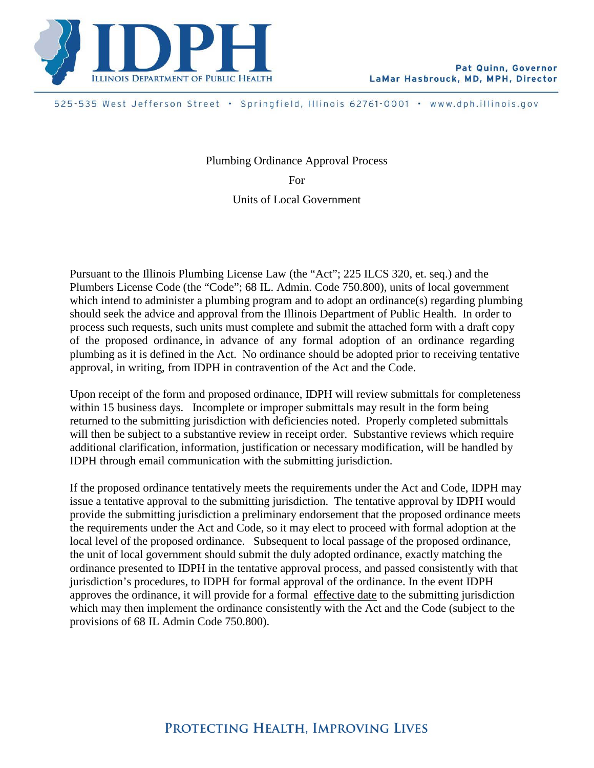

525-535 West Jefferson Street · Springfield, Illinois 62761-0001 · www.dph.illinois.gov

Plumbing Ordinance Approval Process For Units of Local Government

Pursuant to the Illinois Plumbing License Law (the "Act"; 225 ILCS 320, et. seq.) and the Plumbers License Code (the "Code"; 68 IL. Admin. Code 750.800), units of local government which intend to administer a plumbing program and to adopt an ordinance(s) regarding plumbing should seek the advice and approval from the Illinois Department of Public Health. In order to process such requests, such units must complete and submit the attached form with a draft copy of the proposed ordinance, in advance of any formal adoption of an ordinance regarding plumbing as it is defined in the Act. No ordinance should be adopted prior to receiving tentative approval, in writing, from IDPH in contravention of the Act and the Code.

Upon receipt of the form and proposed ordinance, IDPH will review submittals for completeness within 15 business days. Incomplete or improper submittals may result in the form being returned to the submitting jurisdiction with deficiencies noted. Properly completed submittals will then be subject to a substantive review in receipt order. Substantive reviews which require additional clarification, information, justification or necessary modification, will be handled by IDPH through email communication with the submitting jurisdiction.

If the proposed ordinance tentatively meets the requirements under the Act and Code, IDPH may issue a tentative approval to the submitting jurisdiction. The tentative approval by IDPH would provide the submitting jurisdiction a preliminary endorsement that the proposed ordinance meets the requirements under the Act and Code, so it may elect to proceed with formal adoption at the local level of the proposed ordinance. Subsequent to local passage of the proposed ordinance, the unit of local government should submit the duly adopted ordinance, exactly matching the ordinance presented to IDPH in the tentative approval process, and passed consistently with that jurisdiction's procedures, to IDPH for formal approval of the ordinance. In the event IDPH approves the ordinance, it will provide for a formal effective date to the submitting jurisdiction which may then implement the ordinance consistently with the Act and the Code (subject to the provisions of 68 IL Admin Code 750.800).